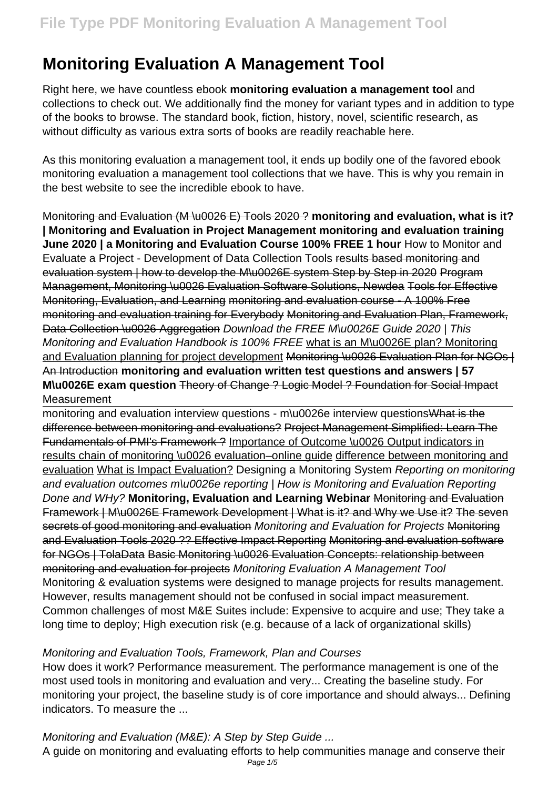# **Monitoring Evaluation A Management Tool**

Right here, we have countless ebook **monitoring evaluation a management tool** and collections to check out. We additionally find the money for variant types and in addition to type of the books to browse. The standard book, fiction, history, novel, scientific research, as without difficulty as various extra sorts of books are readily reachable here.

As this monitoring evaluation a management tool, it ends up bodily one of the favored ebook monitoring evaluation a management tool collections that we have. This is why you remain in the best website to see the incredible ebook to have.

Monitoring and Evaluation (M \u0026 E) Tools 2020 ? **monitoring and evaluation, what is it? | Monitoring and Evaluation in Project Management monitoring and evaluation training June 2020 | a Monitoring and Evaluation Course 100% FREE 1 hour** How to Monitor and Evaluate a Project - Development of Data Collection Tools results based monitoring and evaluation system | how to develop the M\u0026E system Step by Step in 2020 Program Management, Monitoring \u0026 Evaluation Software Solutions, Newdea Tools for Effective Monitoring, Evaluation, and Learning monitoring and evaluation course - A 100% Free monitoring and evaluation training for Everybody Monitoring and Evaluation Plan, Framework, Data Collection \u0026 Aggregation Download the FREE M\u0026E Guide 2020 | This Monitoring and Evaluation Handbook is 100% FREE what is an M\u0026E plan? Monitoring and Evaluation planning for project development Monitoring \u0026 Evaluation Plan for NGOs | An Introduction **monitoring and evaluation written test questions and answers | 57 M\u0026E exam question** Theory of Change ? Logic Model ? Foundation for Social Impact **Measurement** 

monitoring and evaluation interview questions - m\u0026e interview questions What is the difference between monitoring and evaluations? Project Management Simplified: Learn The Fundamentals of PMI's Framework ? Importance of Outcome \u0026 Output indicators in results chain of monitoring \u0026 evaluation–online guide difference between monitoring and evaluation What is Impact Evaluation? Designing a Monitoring System Reporting on monitoring and evaluation outcomes m\u0026e reporting | How is Monitoring and Evaluation Reporting Done and WHy? **Monitoring, Evaluation and Learning Webinar** Monitoring and Evaluation Framework | M\u0026E Framework Development | What is it? and Why we Use it? The seven secrets of good monitoring and evaluation Monitoring and Evaluation for Projects Monitoring and Evaluation Tools 2020 ?? Effective Impact Reporting Monitoring and evaluation software for NGOs | TolaData Basic Monitoring \u0026 Evaluation Concepts: relationship between monitoring and evaluation for projects Monitoring Evaluation A Management Tool Monitoring & evaluation systems were designed to manage projects for results management. However, results management should not be confused in social impact measurement. Common challenges of most M&E Suites include: Expensive to acquire and use; They take a long time to deploy; High execution risk (e.g. because of a lack of organizational skills)

#### Monitoring and Evaluation Tools, Framework, Plan and Courses

How does it work? Performance measurement. The performance management is one of the most used tools in monitoring and evaluation and very... Creating the baseline study. For monitoring your project, the baseline study is of core importance and should always... Defining indicators. To measure the ...

Monitoring and Evaluation (M&E): A Step by Step Guide ...

A guide on monitoring and evaluating efforts to help communities manage and conserve their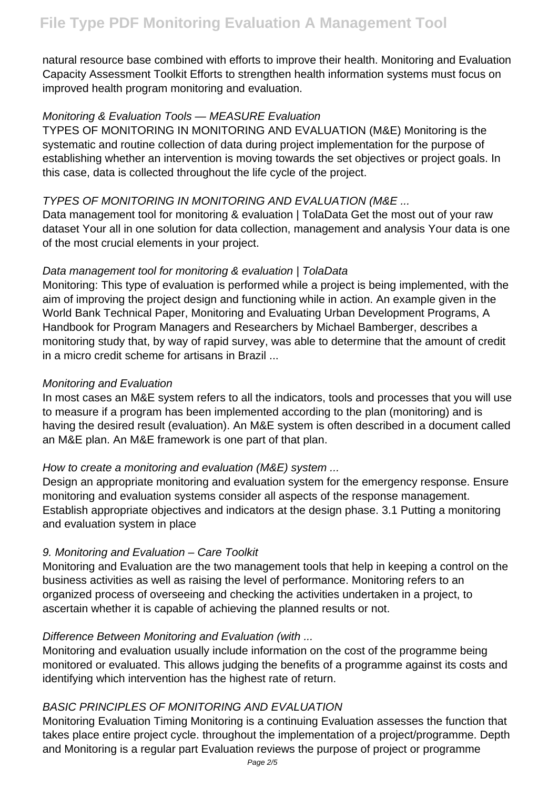natural resource base combined with efforts to improve their health. Monitoring and Evaluation Capacity Assessment Toolkit Efforts to strengthen health information systems must focus on improved health program monitoring and evaluation.

#### Monitoring & Evaluation Tools — MEASURE Evaluation

TYPES OF MONITORING IN MONITORING AND EVALUATION (M&E) Monitoring is the systematic and routine collection of data during project implementation for the purpose of establishing whether an intervention is moving towards the set objectives or project goals. In this case, data is collected throughout the life cycle of the project.

### TYPES OF MONITORING IN MONITORING AND EVALUATION (M&E ...

Data management tool for monitoring & evaluation | TolaData Get the most out of your raw dataset Your all in one solution for data collection, management and analysis Your data is one of the most crucial elements in your project.

### Data management tool for monitoring & evaluation | TolaData

Monitoring: This type of evaluation is performed while a project is being implemented, with the aim of improving the project design and functioning while in action. An example given in the World Bank Technical Paper, Monitoring and Evaluating Urban Development Programs, A Handbook for Program Managers and Researchers by Michael Bamberger, describes a monitoring study that, by way of rapid survey, was able to determine that the amount of credit in a micro credit scheme for artisans in Brazil ...

### Monitoring and Evaluation

In most cases an M&E system refers to all the indicators, tools and processes that you will use to measure if a program has been implemented according to the plan (monitoring) and is having the desired result (evaluation). An M&E system is often described in a document called an M&E plan. An M&E framework is one part of that plan.

## How to create a monitoring and evaluation (M&E) system ...

Design an appropriate monitoring and evaluation system for the emergency response. Ensure monitoring and evaluation systems consider all aspects of the response management. Establish appropriate objectives and indicators at the design phase. 3.1 Putting a monitoring and evaluation system in place

## 9. Monitoring and Evaluation – Care Toolkit

Monitoring and Evaluation are the two management tools that help in keeping a control on the business activities as well as raising the level of performance. Monitoring refers to an organized process of overseeing and checking the activities undertaken in a project, to ascertain whether it is capable of achieving the planned results or not.

## Difference Between Monitoring and Evaluation (with ...

Monitoring and evaluation usually include information on the cost of the programme being monitored or evaluated. This allows judging the benefits of a programme against its costs and identifying which intervention has the highest rate of return.

#### BASIC PRINCIPLES OF MONITORING AND EVALUATION

Monitoring Evaluation Timing Monitoring is a continuing Evaluation assesses the function that takes place entire project cycle. throughout the implementation of a project/programme. Depth and Monitoring is a regular part Evaluation reviews the purpose of project or programme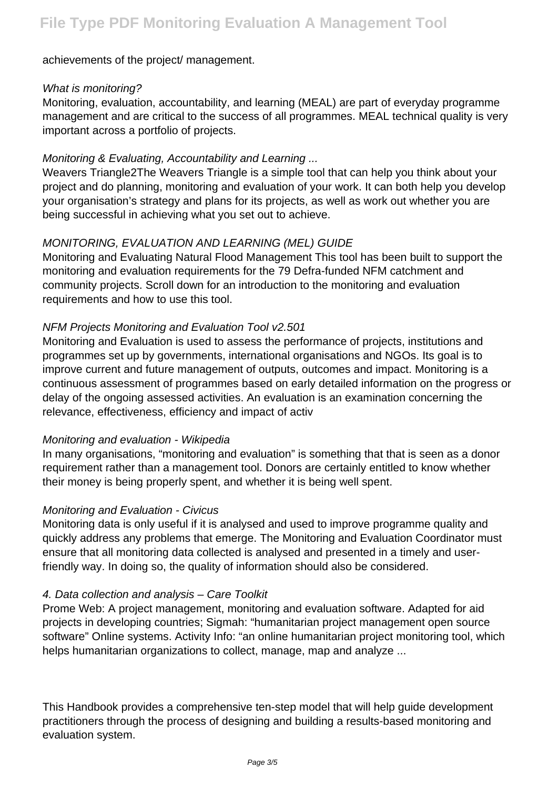achievements of the project/ management.

#### What is monitoring?

Monitoring, evaluation, accountability, and learning (MEAL) are part of everyday programme management and are critical to the success of all programmes. MEAL technical quality is very important across a portfolio of projects.

#### Monitoring & Evaluating, Accountability and Learning ...

Weavers Triangle2The Weavers Triangle is a simple tool that can help you think about your project and do planning, monitoring and evaluation of your work. It can both help you develop your organisation's strategy and plans for its projects, as well as work out whether you are being successful in achieving what you set out to achieve.

#### MONITORING, EVALUATION AND LEARNING (MEL) GUIDE

Monitoring and Evaluating Natural Flood Management This tool has been built to support the monitoring and evaluation requirements for the 79 Defra-funded NFM catchment and community projects. Scroll down for an introduction to the monitoring and evaluation requirements and how to use this tool.

#### NFM Projects Monitoring and Evaluation Tool v2.501

Monitoring and Evaluation is used to assess the performance of projects, institutions and programmes set up by governments, international organisations and NGOs. Its goal is to improve current and future management of outputs, outcomes and impact. Monitoring is a continuous assessment of programmes based on early detailed information on the progress or delay of the ongoing assessed activities. An evaluation is an examination concerning the relevance, effectiveness, efficiency and impact of activ

#### Monitoring and evaluation - Wikipedia

In many organisations, "monitoring and evaluation" is something that that is seen as a donor requirement rather than a management tool. Donors are certainly entitled to know whether their money is being properly spent, and whether it is being well spent.

#### Monitoring and Evaluation - Civicus

Monitoring data is only useful if it is analysed and used to improve programme quality and quickly address any problems that emerge. The Monitoring and Evaluation Coordinator must ensure that all monitoring data collected is analysed and presented in a timely and userfriendly way. In doing so, the quality of information should also be considered.

#### 4. Data collection and analysis – Care Toolkit

Prome Web: A project management, monitoring and evaluation software. Adapted for aid projects in developing countries; Sigmah: "humanitarian project management open source software" Online systems. Activity Info: "an online humanitarian project monitoring tool, which helps humanitarian organizations to collect, manage, map and analyze ...

This Handbook provides a comprehensive ten-step model that will help guide development practitioners through the process of designing and building a results-based monitoring and evaluation system.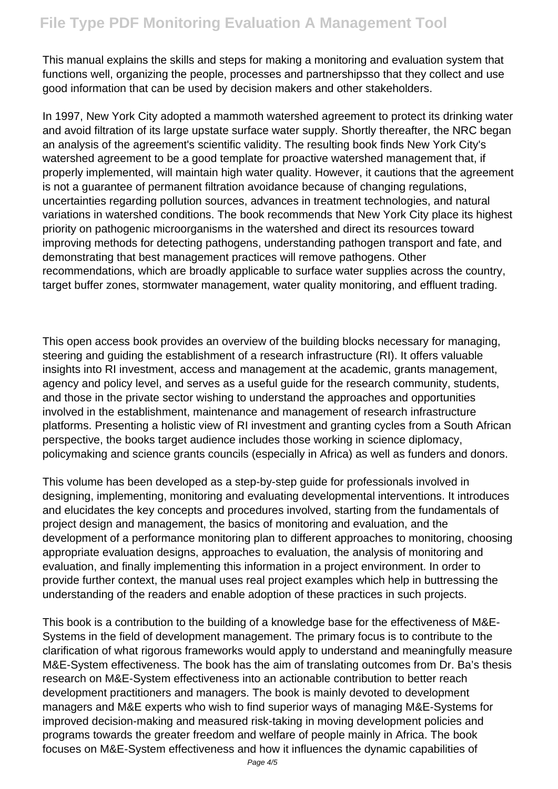This manual explains the skills and steps for making a monitoring and evaluation system that functions well, organizing the people, processes and partnershipsso that they collect and use good information that can be used by decision makers and other stakeholders.

In 1997, New York City adopted a mammoth watershed agreement to protect its drinking water and avoid filtration of its large upstate surface water supply. Shortly thereafter, the NRC began an analysis of the agreement's scientific validity. The resulting book finds New York City's watershed agreement to be a good template for proactive watershed management that, if properly implemented, will maintain high water quality. However, it cautions that the agreement is not a guarantee of permanent filtration avoidance because of changing regulations, uncertainties regarding pollution sources, advances in treatment technologies, and natural variations in watershed conditions. The book recommends that New York City place its highest priority on pathogenic microorganisms in the watershed and direct its resources toward improving methods for detecting pathogens, understanding pathogen transport and fate, and demonstrating that best management practices will remove pathogens. Other recommendations, which are broadly applicable to surface water supplies across the country, target buffer zones, stormwater management, water quality monitoring, and effluent trading.

This open access book provides an overview of the building blocks necessary for managing, steering and guiding the establishment of a research infrastructure (RI). It offers valuable insights into RI investment, access and management at the academic, grants management, agency and policy level, and serves as a useful guide for the research community, students, and those in the private sector wishing to understand the approaches and opportunities involved in the establishment, maintenance and management of research infrastructure platforms. Presenting a holistic view of RI investment and granting cycles from a South African perspective, the books target audience includes those working in science diplomacy, policymaking and science grants councils (especially in Africa) as well as funders and donors.

This volume has been developed as a step-by-step guide for professionals involved in designing, implementing, monitoring and evaluating developmental interventions. It introduces and elucidates the key concepts and procedures involved, starting from the fundamentals of project design and management, the basics of monitoring and evaluation, and the development of a performance monitoring plan to different approaches to monitoring, choosing appropriate evaluation designs, approaches to evaluation, the analysis of monitoring and evaluation, and finally implementing this information in a project environment. In order to provide further context, the manual uses real project examples which help in buttressing the understanding of the readers and enable adoption of these practices in such projects.

This book is a contribution to the building of a knowledge base for the effectiveness of M&E-Systems in the field of development management. The primary focus is to contribute to the clarification of what rigorous frameworks would apply to understand and meaningfully measure M&E-System effectiveness. The book has the aim of translating outcomes from Dr. Ba's thesis research on M&E-System effectiveness into an actionable contribution to better reach development practitioners and managers. The book is mainly devoted to development managers and M&E experts who wish to find superior ways of managing M&E-Systems for improved decision-making and measured risk-taking in moving development policies and programs towards the greater freedom and welfare of people mainly in Africa. The book focuses on M&E-System effectiveness and how it influences the dynamic capabilities of